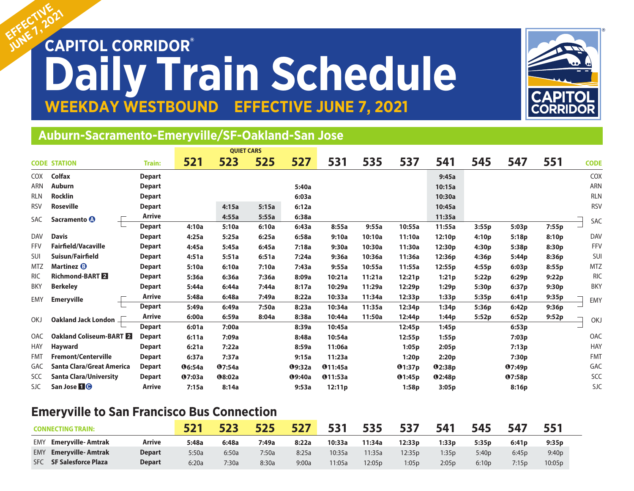# EFFECTIV<sub>2021</sub> **Daily Train Schedule**<br>WEEKDAY WESTBOUND EFFECTIVE JUNE 7, 2021 **EFFECTIVE JUNE 7, 2021 EFFECTIVE**



## **Auburn-Sacramento-Emeryville/SF-Oakland-San Jose**

|            | <b>CODE STATION</b>           | <b>Train:</b> | 521           | 523           | 525   | 527           | 531            | 535    | 537    | 541           | 545   | 547           | 551   | <b>CODE</b> |
|------------|-------------------------------|---------------|---------------|---------------|-------|---------------|----------------|--------|--------|---------------|-------|---------------|-------|-------------|
| <b>COX</b> | <b>Colfax</b>                 | <b>Depart</b> |               |               |       |               |                |        |        | 9:45a         |       |               |       | COX         |
| <b>ARN</b> | <b>Auburn</b>                 | <b>Depart</b> |               |               |       | 5:40a         |                |        |        | 10:15a        |       |               |       | <b>ARN</b>  |
| <b>RLN</b> | <b>Rocklin</b>                | <b>Depart</b> |               |               |       | 6:03a         |                |        |        | 10:30a        |       |               |       | <b>RLN</b>  |
| <b>RSV</b> | <b>Roseville</b>              | <b>Depart</b> |               | 4:15a         | 5:15a | 6:12a         |                |        |        | 10:45a        |       |               |       | <b>RSV</b>  |
| <b>SAC</b> | Sacramento <b>O</b>           | <b>Arrive</b> |               | 4:55a         | 5:55a | 6:38a         |                |        |        | 11:35a        |       |               |       | <b>SAC</b>  |
|            |                               | <b>Depart</b> | 4:10a         | 5:10a         | 6:10a | 6:43a         | 8:55a          | 9:55a  | 10:55a | 11:55a        | 3:55p | 5:03p         | 7:55p |             |
| <b>DAV</b> | <b>Davis</b>                  | <b>Depart</b> | 4:25a         | 5:25a         | 6:25a | 6:58a         | 9:10a          | 10:10a | 11:10a | 12:10p        | 4:10p | 5:18p         | 8:10p | <b>DAV</b>  |
| <b>FFV</b> | <b>Fairfield/Vacaville</b>    | <b>Depart</b> | 4:45a         | 5:45a         | 6:45a | 7:18a         | 9:30a          | 10:30a | 11:30a | 12:30p        | 4:30p | 5:38p         | 8:30p | FFV         |
| SUI        | Suisun/Fairfield              | <b>Depart</b> | 4:51a         | 5:51a         | 6:51a | 7:24a         | 9:36a          | 10:36a | 11:36a | 12:36p        | 4:36p | 5:44p         | 8:36p | SUI         |
| <b>MTZ</b> | Martinez <b>B</b>             | <b>Depart</b> | 5:10a         | 6:10a         | 7:10a | 7:43a         | 9:55a          | 10:55a | 11:55a | 12:55p        | 4:55p | 6:03p         | 8:55p | <b>MTZ</b>  |
| <b>RIC</b> | <b>Richmond-BART</b>          | <b>Depart</b> | 5:36a         | 6:36a         | 7:36a | 8:09a         | 10:21a         | 11:21a | 12:21p | 1:21p         | 5:22p | 6:29p         | 9:22p | <b>RIC</b>  |
| <b>BKY</b> | <b>Berkeley</b>               | <b>Depart</b> | 5:44a         | 6:44a         | 7:44a | 8:17a         | 10:29a         | 11:29a | 12:29p | 1:29p         | 5:30p | 6:37p         | 9:30p | <b>BKY</b>  |
| <b>EMY</b> | <b>Emeryville</b>             | <b>Arrive</b> | 5:48a         | 6:48a         | 7:49a | 8:22a         | 10:33a         | 11:34a | 12:33p | 1:33p         | 5:35p | 6:41p         | 9:35p | EMY         |
|            |                               | <b>Depart</b> | 5:49a         | 6:49a         | 7:50a | 8:23a         | 10:34a         | 11:35a | 12:34p | 1:34p         | 5:36p | 6:42p         | 9:36p |             |
| OKJ        | Oakland Jack London _         | <b>Arrive</b> | 6:00a         | 6:59a         | 8:04a | 8:38a         | 10:44a         | 11:50a | 12:44p | 1:44p         | 5:52p | 6:52p         | 9:52p | OK.         |
|            |                               | <b>Depart</b> | 6:01a         | 7:00a         |       | 8:39a         | 10:45a         |        | 12:45p | 1:45p         |       | 6:53p         |       |             |
| OAC        | Oakland Coliseum-BART 2       | <b>Depart</b> | 6:11a         | 7:09a         |       | 8:48a         | 10:54a         |        | 12:55p | 1:55p         |       | 7:03p         |       | OAC         |
| <b>HAY</b> | <b>Hayward</b>                | <b>Depart</b> | 6:21a         | 7:22a         |       | 8:59a         | 11:06a         |        | 1:05p  | 2:05p         |       | 7:13p         |       | <b>HAY</b>  |
| <b>FMT</b> | <b>Fremont/Centerville</b>    | <b>Depart</b> | 6:37a         | 7:37a         |       | 9:15a         | 11:23a         |        | 1:20p  | 2:20p         |       | 7:30p         |       | <b>FMT</b>  |
| <b>GAC</b> | Santa Clara/Great America     | <b>Depart</b> | <b>06:54a</b> | Q7:54a        |       | Q9:32a        | <b>011:45a</b> |        | Q1:37p | Q2:38p        |       | Q7:49p        |       | GAC         |
| SCC        | <b>Santa Clara/University</b> | <b>Depart</b> | <b>07:03a</b> | <b>08:02a</b> |       | <b>09:40a</b> | <b>011:53a</b> |        | Q1:45p | <b>02:48p</b> |       | <b>07:58p</b> |       | SCC         |
| <b>SJC</b> | San Jose <b>10</b>            | <b>Arrive</b> | 7:15a         | 8:14a         |       | 9:53a         | 12:11p         |        | 1:58p  | 3:05p         |       | 8:16p         |       | <b>SJC</b>  |

### **Emeryville to San Francisco Bus Connection**

|            | <b>CONNECTING TRAIN:</b>   |               | <b>E71</b> | ちつっ   | 525   | 527   | 531    | 535    | 537     | 541    | 545               | 547   |                   |
|------------|----------------------------|---------------|------------|-------|-------|-------|--------|--------|---------|--------|-------------------|-------|-------------------|
| EMY        | <b>Emeryville-Amtrak</b>   | Arrive        | 5:48a      | 6:48a | 7:49a | 8:22a | 10:33a | 11:34a | 12:33 p | 1:33 p | 5:35 <sub>p</sub> | 6:41p | 9:35 <sub>p</sub> |
| <b>EMY</b> | <b>Emeryville-Amtrak</b>   | <b>Depart</b> | 5:50a      | 6:50a | 7:50a | 8:25a | 10:35a | 11:35a | 12:35p  | 1:35p  | 5:40 <sub>p</sub> | 6:45p | 9:40p             |
| <b>SFC</b> | <b>SF Salesforce Plaza</b> | <b>Depart</b> | 6:20a      | 7:30a | 8:30a | 9:00a | 1:05a  | 12:05p | 1:05p   | 2:05p  | 6:10p             | 7:15p | 10:05p            |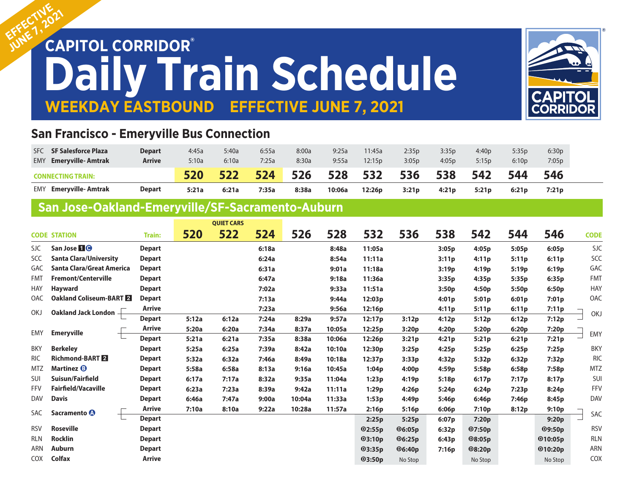# EFFECTIV<sub>2021</sub> **Daily Train Schedule**<br>WEEKDAY EASTBOUND EFFECTIVE JUNE 7, 2021 **EFFECTIVE JUNE 7, 2021 EFFECTIVE**



### **San Francisco - Emeryville Bus Connection**

| <b>SF Salesforce Plaza</b><br><b>SFC</b> | Depart        | 4:45a | 5:40a | 6:55a | 8:00a | 9:25a  | 11:45a | 2:35p | 3:35p | 4:40p | 5:35p | 6:30p |
|------------------------------------------|---------------|-------|-------|-------|-------|--------|--------|-------|-------|-------|-------|-------|
| <b>Emeryville-Amtrak</b><br>EMY          | <b>Arrive</b> | 5:10a | 6:10a | 7:25a | 8:30a | 9:55a  | 12:15p | 3:05p | 4:05p | 5:15p | 6:10p | 7:05p |
| CONNECTING TRAIN:                        | 520           | 522   | 524   | 526   | 528   | 532    | 536    | 538   | 542   | 544   | 546   |       |
| <b>Emeryville-Amtrak</b><br>EMY          | Depart        | 5:21a | 6:21a | 7:35a | 8:38a | 10:06a | 12:26p | 3:21p | 4:21p | 5:21p | 6:21p | 7:21p |

## **San Jose-Oakland-Emeryville/SF-Sacramento-Auburn**

|                               |                                                                                              |                         | <b>QUIET CARS</b> |       |        |        |                    |              |       |                   |       |                   |                                                                                                                            |
|-------------------------------|----------------------------------------------------------------------------------------------|-------------------------|-------------------|-------|--------|--------|--------------------|--------------|-------|-------------------|-------|-------------------|----------------------------------------------------------------------------------------------------------------------------|
|                               | Train:                                                                                       | 520                     | 522               | 524   | 526    | 528    | 532                | 536          | 538   | 542               | 544   | 546               | <b>CODE</b>                                                                                                                |
| San Jose <b>10</b>            | <b>Depart</b>                                                                                |                         |                   | 6:18a |        | 8:48a  | 11:05a             |              | 3:05p | 4:05p             | 5:05p | 6:05p             | <b>SJC</b>                                                                                                                 |
| <b>Santa Clara/University</b> | <b>Depart</b>                                                                                |                         |                   | 6:24a |        | 8:54a  | 11:11a             |              | 3:11p | 4:11p             | 5:11p | 6:11p             | SCC                                                                                                                        |
| Santa Clara/Great America     | <b>Depart</b>                                                                                |                         |                   | 6:31a |        | 9:01a  | 11:18a             |              | 3:19p | 4:19p             | 5:19p | 6:19p             | GAC                                                                                                                        |
| <b>Fremont/Centerville</b>    | <b>Depart</b>                                                                                |                         |                   | 6:47a |        | 9:18a  | 11:36a             |              | 3:35p | 4:35p             | 5:35p | 6:35p             | <b>FMT</b>                                                                                                                 |
| <b>Hayward</b>                | <b>Depart</b>                                                                                |                         |                   | 7:02a |        | 9:33a  | 11:51a             |              | 3:50p | 4:50 <sub>p</sub> | 5:50p | 6:50p             | <b>HAY</b>                                                                                                                 |
|                               | <b>Depart</b>                                                                                |                         |                   | 7:13a |        | 9:44a  | 12:03p             |              | 4:01p | 5:01p             | 6:01p | 7:01p             | OAC                                                                                                                        |
|                               | Arrive                                                                                       |                         |                   | 7:23a |        | 9:56a  | 12:16p             |              | 4:11p | 5:11p             | 6:11p | 7:11p             |                                                                                                                            |
|                               | <b>Depart</b>                                                                                | 5:12a                   | 6:12a             | 7:24a | 8:29a  | 9:57a  | 12:17 <sub>p</sub> | 3:12p        | 4:12p | 5:12p             | 6:12p | 7:12p             | OKJ<br>EMY<br>BKY<br><b>RIC</b><br><b>MTZ</b><br>SUI<br><b>FFV</b><br><b>DAV</b><br>SAC<br><b>RSV</b><br><b>RLN</b><br>ARN |
|                               | Arrive                                                                                       | 5:20a                   | 6:20a             | 7:34a | 8:37a  | 10:05a | 12:25p             | 3:20p        | 4:20p | 5:20p             | 6:20p | 7:20p             |                                                                                                                            |
|                               | <b>Depart</b>                                                                                | 5:21a                   | 6:21a             | 7:35a | 8:38a  | 10:06a | 12:26p             | 3:21p        | 4:21p | 5:21p             | 6:21p | 7:21p<br>7:25p    |                                                                                                                            |
| <b>Berkeley</b>               | <b>Depart</b>                                                                                | 5:25a                   | 6:25a             | 7:39a | 8:42a  | 10:10a | 12:30p             | 3:25p        | 4:25p | 5:25p             | 6:25p |                   |                                                                                                                            |
| <b>Richmond-BART 2</b>        | <b>Depart</b>                                                                                | 5:32a                   | 6:32a             | 7:46a | 8:49a  | 10:18a | 12:37p             | 3:33p        | 4:32p | 5:32p             | 6:32p | 7:32p             |                                                                                                                            |
| Martinez <sup>®</sup>         | <b>Depart</b>                                                                                | 5:58a                   | 6:58a             | 8:13a | 9:16a  | 10:45a | 1:04p              | 4:00p        | 4:59p | 5:58p             | 6:58p | 7:58p             |                                                                                                                            |
| Suisun/Fairfield              | <b>Depart</b>                                                                                | 6:17a                   | 7:17a             | 8:32a | 9:35a  | 11:04a | 1:23p              | 4:19p        | 5:18p | 6:17p             | 7:17p | 8:17p             |                                                                                                                            |
| <b>Fairfield/Vacaville</b>    | <b>Depart</b>                                                                                | 6:23a                   | 7:23a             | 8:39a | 9:42a  | 11:11a | 1:29p              | 4:26p        | 5:24p | 6:24p             | 7:23p | 8:24p             |                                                                                                                            |
| <b>Davis</b>                  | <b>Depart</b>                                                                                | 6:46a                   | 7:47a             | 9:00a | 10:04a | 11:33a | 1:53p              | 4:49p        | 5:46p | 6:46p             | 7:46p | 8:45p             |                                                                                                                            |
|                               | Arrive                                                                                       | 7:10a                   | 8:10a             | 9:22a | 10:28a | 11:57a | 2:16p              | 5:16p        | 6:06p | 7:10p             | 8:12p | 9:10 <sub>p</sub> | 9:20p                                                                                                                      |
|                               | <b>Depart</b>                                                                                |                         |                   |       |        |        | 2:25p              | 5:25p        | 6:07p | 7:20p             |       |                   |                                                                                                                            |
| <b>Roseville</b>              | <b>Depart</b>                                                                                |                         |                   |       |        |        | Q2:55p             | $\Phi$ 6:05p | 6:32p | Q7:50p            |       | <b>09:50p</b>     |                                                                                                                            |
| <b>Rocklin</b>                | <b>Depart</b>                                                                                |                         |                   |       |        |        | Q3:10p             | $\Phi$ 6:25p | 6:43p | <b>08:05p</b>     |       | Q10:05p           |                                                                                                                            |
| <b>Auburn</b>                 | <b>Depart</b>                                                                                |                         |                   |       |        |        | Q3:35p             | $\Phi$ 6:40p | 7:16p | @8:20p            |       | Q10:20p           |                                                                                                                            |
| <b>Colfax</b>                 | <b>Arrive</b>                                                                                |                         |                   |       |        |        | <b>@3:50p</b>      | No Stop      |       | No Stop           |       | No Stop           | <b>COX</b>                                                                                                                 |
|                               | <b>CODE STATION</b><br>Oakland Jack London -<br><b>Emeryville</b><br>Sacramento <sup>1</sup> | Oakland Coliseum-BART 2 |                   |       |        |        |                    |              |       |                   |       |                   |                                                                                                                            |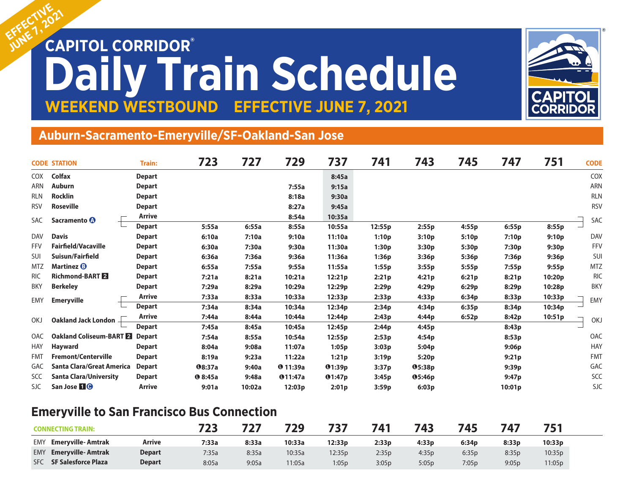# EFFECTIV<sub>2021</sub> **Daily Train Schedule WEEKEND WESTBOUND EFFECTIVE JUNE 7, 2021 EFFECTIVE**



#### **Auburn-Sacramento-Emeryville/SF-Oakland-San Jose**

|            | <b>CODE STATION</b>           | <b>Train:</b> | 723           | 727    | 729             | 737    | 741    | 743                | 745   | 747    | 751               | <b>CODE</b> |
|------------|-------------------------------|---------------|---------------|--------|-----------------|--------|--------|--------------------|-------|--------|-------------------|-------------|
| COX        | <b>Colfax</b>                 | <b>Depart</b> |               |        |                 | 8:45a  |        |                    |       |        |                   | COX         |
| <b>ARN</b> | Auburn                        | <b>Depart</b> |               |        | 7:55a           | 9:15a  |        |                    |       |        |                   | ARN         |
| <b>RLN</b> | <b>Rocklin</b>                | <b>Depart</b> |               |        | 8:18a           | 9:30a  |        |                    |       |        |                   | <b>RLN</b>  |
| <b>RSV</b> | <b>Roseville</b>              | <b>Depart</b> |               |        | 8:27a           | 9:45a  |        |                    |       |        |                   | <b>RSV</b>  |
| SAC        | Sacramento <sup>1</sup>       | Arrive        |               |        | 8:54a           | 10:35a |        |                    |       |        |                   | SAC         |
|            |                               | <b>Depart</b> | 5:55a         | 6:55a  | 8:55a           | 10:55a | 12:55p | 2:55p              | 4:55p | 6:55p  | 8:55p             |             |
| <b>DAV</b> | <b>Davis</b>                  | <b>Depart</b> | 6:10a         | 7:10a  | 9:10a           | 11:10a | 1:10p  | 3:10p              | 5:10p | 7:10p  | 9:10p             | <b>DAV</b>  |
| <b>FFV</b> | <b>Fairfield/Vacaville</b>    | <b>Depart</b> | 6:30a         | 7:30a  | 9:30a           | 11:30a | 1:30p  | 3:30p              | 5:30p | 7:30p  | 9:30p             | FFV         |
| SUI        | Suisun/Fairfield              | <b>Depart</b> | 6:36a         | 7:36a  | 9:36a           | 11:36a | 1:36p  | 3:36p              | 5:36p | 7:36p  | 9:36p             | SUI         |
| <b>MTZ</b> | Martinez <b>B</b>             | <b>Depart</b> | 6:55a         | 7:55a  | 9:55a           | 11:55a | 1:55p  | 3:55p              | 5:55p | 7:55p  | 9:55 <sub>p</sub> | <b>MTZ</b>  |
| <b>RIC</b> | <b>Richmond-BART 2</b>        | <b>Depart</b> | 7:21a         | 8:21a  | 10:21a          | 12:21p | 2:21p  | 4:21p              | 6:21p | 8:21p  | 10:20p            | <b>RIC</b>  |
| <b>BKY</b> | <b>Berkeley</b>               | <b>Depart</b> | 7:29a         | 8:29a  | 10:29a          | 12:29p | 2:29p  | 4:29p              | 6:29p | 8:29p  | 10:28p            | <b>BKY</b>  |
| <b>EMY</b> | <b>Emeryville</b>             | <b>Arrive</b> | 7:33a         | 8:33a  | 10:33a          | 12:33p | 2:33p  | 4:33p              | 6:34p | 8:33p  | 10:33p            | EMY         |
|            |                               | <b>Depart</b> | 7:34a         | 8:34a  | 10:34a          | 12:34p | 2:34p  | 4:34p              | 6:35p | 8:34p  | 10:34p            |             |
| OKJ        | <b>Oakland Jack London</b>    | <b>Arrive</b> | 7:44a         | 8:44a  | 10:44a          | 12:44p | 2:43p  | 4:44p              | 6:52p | 8:42p  | 10:51p            | <b>OKJ</b>  |
|            |                               | <b>Depart</b> | 7:45a         | 8:45a  | 10:45a          | 12:45p | 2:44p  | 4:45p              |       | 8:43p  |                   |             |
| <b>OAC</b> | Oakland Coliseum-BART 2       | <b>Depart</b> | 7:54a         | 8:55a  | 10:54a          | 12:55p | 2:53p  | 4:54p              |       | 8:53p  |                   | OAC         |
| HAY        | <b>Hayward</b>                | <b>Depart</b> | 8:04a         | 9:08a  | 11:07a          | 1:05p  | 3:03p  | 5:04p              |       | 9:06p  |                   | <b>HAY</b>  |
| <b>FMT</b> | <b>Fremont/Centerville</b>    | <b>Depart</b> | 8:19a         | 9:23a  | 11:22a          | 1:21p  | 3:19p  | 5:20p              |       | 9:21p  |                   | <b>FMT</b>  |
| <b>GAC</b> | Santa Clara/Great America     | <b>Depart</b> | <b>08:37a</b> | 9:40a  | <b>0</b> 11:39a | Q1:39p | 3:37p  | <b>05:38p</b>      |       | 9:39p  |                   | GAC         |
| <b>SCC</b> | <b>Santa Clara/University</b> | <b>Depart</b> | 08:45a        | 9:48a  | <b>011:47a</b>  | Q1:47p | 3:45p  | O <sub>5:46p</sub> |       | 9:47p  |                   | SCC         |
| <b>SJC</b> | San Jose <b>10</b>            | <b>Arrive</b> | 9:01a         | 10:02a | 12:03p          | 2:01p  | 3:59p  | 6:03p              |       | 10:01p |                   | <b>SJC</b>  |

### **Emeryville to San Francisco Bus Connection**

| <b>CONNECTING TRAIN:</b>                 | フつつ    | 777   | 729   | 737    | 741                | 743   | 745               | 747   | 751               |        |
|------------------------------------------|--------|-------|-------|--------|--------------------|-------|-------------------|-------|-------------------|--------|
| <b>Emeryville-Amtrak</b><br><b>EMY</b>   | Arrive | 7:33a | 8:33a | 10:33a | 12:33 <sub>p</sub> | 2:33p | 4:33 <sub>p</sub> | 6:34p | 8:33 <sub>p</sub> | 10:33p |
| <b>Emeryville-Amtrak</b><br>EMY          | Depart | 7:35a | 8:35a | 10:35a | 12:35p             | 2:35p | 4:35p             | 6:35p | 8:35p             | 10:35p |
| <b>SFC</b><br><b>SF Salesforce Plaza</b> | Depart | 8:05a | 9:05a | 1:05a  | 1:05p              | 3:05p | 5:05p             | 7:05p | 9:05p             | 11:05p |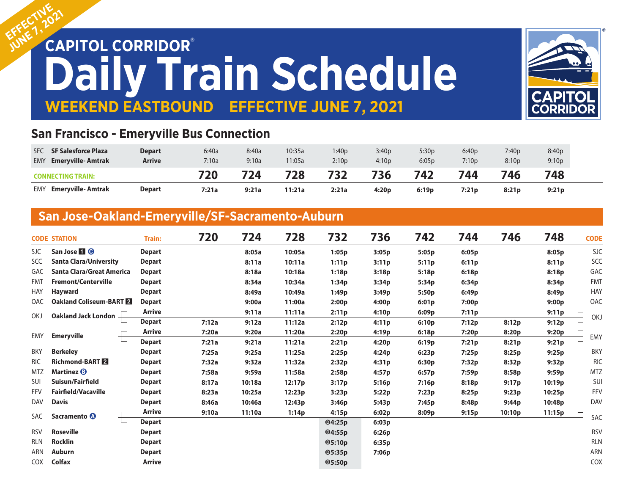# EFFECTIV<sub>2021</sub> **Daily Train Schedule WEEKEND EASTBOUND EFFECTIVE JUNE 7, 2021 EFFECTIVE**



## **San Francisco - Emeryville Bus Connection**

| <b>SF Salesforce Plaza</b><br><b>SFC</b> | Depart        | 6:40a | 8:40a | 10:35a | 1:40p | 3:40p | 5:30p | 6:40p | 7:40p | 8:40p             |
|------------------------------------------|---------------|-------|-------|--------|-------|-------|-------|-------|-------|-------------------|
| <b>Emervville-Amtrak</b><br><b>EMY</b>   | <b>Arrive</b> | 7:10a | 9:10a | 11:05a | 2:10p | 4:10p | 6:05p | 7:10p | 8:10p | 9:10 <sub>p</sub> |
| <b>CONNECTING TRAIN:</b>                 |               | 720   | 724   | 728    | 732   | 736   | 742   | 744   | 746   | 748               |
|                                          |               |       |       |        |       | 4:20p | 6:19p | 7:21p | 8:21p | 9:21p             |

# **San Jose-Oakland-Emeryville/SF-Sacramento-Auburn**

|            | <b>CODE STATION</b>              | <b>Train:</b> | 720   | 724    | 728    | 732           | 736   | 742   | 744   | 746               | 748    | <b>CODE</b>                                                                                                                       |
|------------|----------------------------------|---------------|-------|--------|--------|---------------|-------|-------|-------|-------------------|--------|-----------------------------------------------------------------------------------------------------------------------------------|
| SJC.       | San Jose <b>1 0</b>              | <b>Depart</b> |       | 8:05a  | 10:05a | 1:05p         | 3:05p | 5:05p | 6:05p |                   | 8:05p  | <b>SJC</b>                                                                                                                        |
| SCC        | <b>Santa Clara/University</b>    | <b>Depart</b> |       | 8:11a  | 10:11a | 1:11p         | 3:11p | 5:11p | 6:11p |                   | 8:11p  | SCC                                                                                                                               |
| GAC        | <b>Santa Clara/Great America</b> | <b>Depart</b> |       | 8:18a  | 10:18a | 1:18p         | 3:18p | 5:18p | 6:18p |                   | 8:18p  | GAC                                                                                                                               |
| <b>FMT</b> | <b>Fremont/Centerville</b>       | <b>Depart</b> |       | 8:34a  | 10:34a | 1:34p         | 3:34p | 5:34p | 6:34p |                   | 8:34p  | <b>FMT</b>                                                                                                                        |
| HAY        | <b>Hayward</b>                   | <b>Depart</b> |       | 8:49a  | 10:49a | 1:49p         | 3:49p | 5:50p | 6:49p |                   | 8:49p  | <b>HAY</b>                                                                                                                        |
| <b>OAC</b> | Oakland Coliseum-BART 2          | <b>Depart</b> |       | 9:00a  | 11:00a | 2:00p         | 4:00p | 6:01p | 7:00p |                   | 9:00p  | OAC                                                                                                                               |
| <b>OKJ</b> | Oakland Jack London -            | Arrive        |       | 9:11a  | 11:11a | 2:11p         | 4:10p | 6:09p | 7:11p |                   | 9:11p  |                                                                                                                                   |
|            |                                  | <b>Depart</b> | 7:12a | 9:12a  | 11:12a | 2:12p         | 4:11p | 6:10p | 7:12p | 8:12p             | 9:12p  | <b>OKJ</b><br>EMY<br><b>BKY</b><br><b>RIC</b><br><b>MTZ</b><br>SUI<br>FFV<br><b>DAV</b><br>SAC<br><b>RSV</b><br><b>RLN</b><br>ARN |
| EMY        | <b>Emeryville</b>                | <b>Arrive</b> | 7:20a | 9:20a  | 11:20a | 2:20p         | 4:19p | 6:18p | 7:20p | 8:20p             | 9:20p  |                                                                                                                                   |
|            |                                  | <b>Depart</b> | 7:21a | 9:21a  | 11:21a | 2:21p         | 4:20p | 6:19p | 7:21p | 8:21p             | 9:21p  |                                                                                                                                   |
| <b>BKY</b> | <b>Berkeley</b>                  | <b>Depart</b> | 7:25a | 9:25a  | 11:25a | 2:25p         | 4:24p | 6:23p | 7:25p | 8:25p             | 9:25p  |                                                                                                                                   |
| <b>RIC</b> | <b>Richmond-BART 2</b>           | <b>Depart</b> | 7:32a | 9:32a  | 11:32a | 2:32p         | 4:31p | 6:30p | 7:32p | 8:32p             | 9:32p  |                                                                                                                                   |
| <b>MTZ</b> | Martinez <b>B</b>                | <b>Depart</b> | 7:58a | 9:59a  | 11:58a | 2:58p         | 4:57p | 6:57p | 7:59p | 8:58p             | 9:59p  |                                                                                                                                   |
| SUI        | Suisun/Fairfield                 | <b>Depart</b> | 8:17a | 10:18a | 12:17p | 3:17p         | 5:16p | 7:16p | 8:18p | 9:17p             | 10:19p |                                                                                                                                   |
| <b>FFV</b> | <b>Fairfield/Vacaville</b>       | <b>Depart</b> | 8:23a | 10:25a | 12:23p | 3:23p         | 5:22p | 7:23p | 8:25p | 9:23p             | 10:25p |                                                                                                                                   |
| <b>DAV</b> | <b>Davis</b>                     | <b>Depart</b> | 8:46a | 10:46a | 12:43p | 3:46p         | 5:43p | 7:45p | 8:48p | 9:44 <sub>p</sub> | 10:48p |                                                                                                                                   |
| SAC        | Sacramento <sup>1</sup>          | Arrive        | 9:10a | 11:10a | 1:14p  | 4:15p         | 6:02p | 8:09p | 9:15p | 10:10p            | 11:15p |                                                                                                                                   |
|            |                                  | <b>Depart</b> |       |        |        | 04:25p        | 6:03p |       |       |                   |        |                                                                                                                                   |
| <b>RSV</b> | <b>Roseville</b>                 | <b>Depart</b> |       |        |        | Q4:55p        | 6:26p |       |       |                   |        |                                                                                                                                   |
| <b>RLN</b> | <b>Rocklin</b>                   | <b>Depart</b> |       |        |        | $\Phi$ 5:10p  | 6:35p |       |       |                   |        |                                                                                                                                   |
| ARN        | <b>Auburn</b>                    | <b>Depart</b> |       |        |        | <b>05:35p</b> | 7:06p |       |       |                   |        |                                                                                                                                   |
| <b>COX</b> | <b>Colfax</b>                    | <b>Arrive</b> |       |        |        | <b>05:50p</b> |       |       |       |                   |        | <b>COX</b>                                                                                                                        |